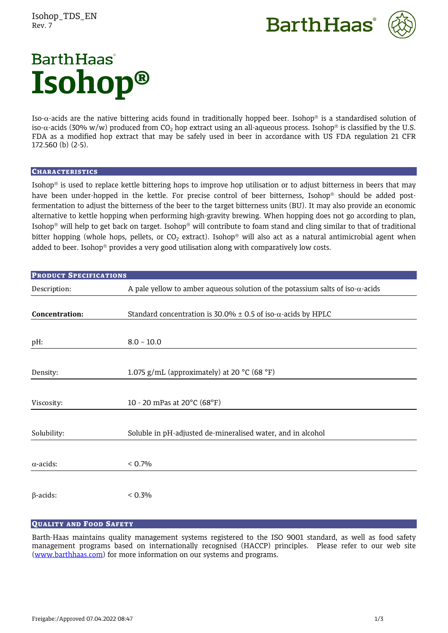Isohop\_TDS\_EN Rev. 7





# **BarthHaas**<sup>®</sup> **Isohop®**

Iso- $\alpha$ -acids are the native bittering acids found in traditionally hopped beer. Isohop<sup>®</sup> is a standardised solution of iso- $\alpha$ -acids (30% w/w) produced from CO<sub>2</sub> hop extract using an all-aqueous process. Isohop<sup>®</sup> is classified by the U.S. FDA as a modified hop extract that may be safely used in beer in accordance with US FDA regulation 21 CFR 172.560 (b) (2-5).

# **CHARACTERISTICS**

Isohop<sup>®</sup> is used to replace kettle bittering hops to improve hop utilisation or to adjust bitterness in beers that may have been under-hopped in the kettle. For precise control of beer bitterness, Isohop<sup>®</sup> should be added postfermentation to adjust the bitterness of the beer to the target bitterness units (BU). It may also provide an economic alternative to kettle hopping when performing high-gravity brewing. When hopping does not go according to plan, Isohop<sup>®</sup> will help to get back on target. Isohop® will contribute to foam stand and cling similar to that of traditional bitter hopping (whole hops, pellets, or  $CO<sub>2</sub>$  extract). Isohop<sup>®</sup> will also act as a natural antimicrobial agent when added to beer. Isohop® provides a very good utilisation along with comparatively low costs.

| <b>PRODUCT SPECIFICATIONS</b> |                                                                                        |
|-------------------------------|----------------------------------------------------------------------------------------|
| Description:                  | A pale yellow to amber aqueous solution of the potassium salts of iso- $\alpha$ -acids |
|                               |                                                                                        |
| Concentration:                | Standard concentration is 30.0% $\pm$ 0.5 of iso- $\alpha$ -acids by HPLC              |
|                               |                                                                                        |
| pH:                           | $8.0 - 10.0$                                                                           |
|                               |                                                                                        |
| Density:                      | 1.075 g/mL (approximately) at 20 °C (68 °F)                                            |
|                               |                                                                                        |
| Viscosity:                    | 10 - 20 mPas at 20°C (68°F)                                                            |
|                               |                                                                                        |
| Solubility:                   | Soluble in pH-adjusted de-mineralised water, and in alcohol                            |
|                               |                                                                                        |
| $\alpha$ -acids:              | $< 0.7\%$                                                                              |
|                               |                                                                                        |
| $\beta$ -acids:               | $< 0.3\%$                                                                              |

# QUALITY AND FOOD SAFETY

Barth-Haas maintains quality management systems registered to the ISO 9001 standard, as well as food safety management programs based on internationally recognised (HACCP) principles. Please refer to our web site [\(www.barthhaas.com\)](http://www.barthhaas.com/) for more information on our systems and programs.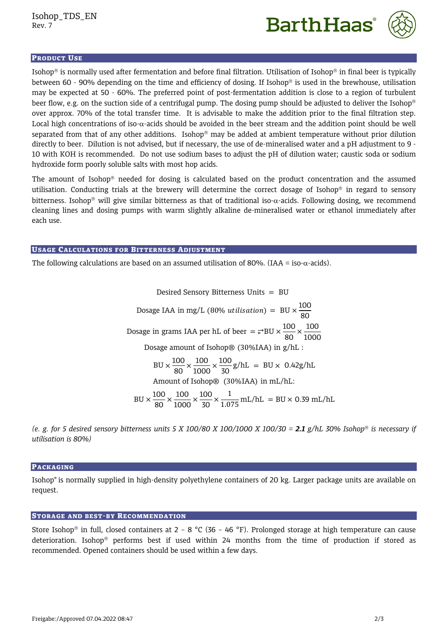



#### PRODUCT USE

Isohop<sup>®</sup> is normally used after fermentation and before final filtration. Utilisation of Isohop<sup>®</sup> in final beer is typically between 60 - 90% depending on the time and efficiency of dosing. If Isohop<sup>®</sup> is used in the brewhouse, utilisation may be expected at 50 - 60%. The preferred point of post-fermentation addition is close to a region of turbulent beer flow, e.g. on the suction side of a centrifugal pump. The dosing pump should be adjusted to deliver the Isohop® over approx. 70% of the total transfer time. It is advisable to make the addition prior to the final filtration step. Local high concentrations of iso- $\alpha$ -acids should be avoided in the beer stream and the addition point should be well separated from that of any other additions. Isohop<sup>®</sup> may be added at ambient temperature without prior dilution directly to beer. Dilution is not advised, but if necessary, the use of de-mineralised water and a pH adjustment to 9 - 10 with KOH is recommended. Do not use sodium bases to adjust the pH of dilution water; caustic soda or sodium hydroxide form poorly soluble salts with most hop acids.

The amount of Isohop<sup>®</sup> needed for dosing is calculated based on the product concentration and the assumed utilisation. Conducting trials at the brewery will determine the correct dosage of Isohop<sup>®</sup> in regard to sensory bitterness. Isohop<sup>®</sup> will give similar bitterness as that of traditional iso- $\alpha$ -acids. Following dosing, we recommend cleaning lines and dosing pumps with warm slightly alkaline de-mineralised water or ethanol immediately after each use.

#### USAGE CALCULATIONS FOR BITTERNESS ADJUSTMENT

The following calculations are based on an assumed utilisation of 80%. (IAA = iso- $\alpha$ -acids).

Desired Sensory Bitterness Units = BU Dosage IAA in mg/L (80% *utilisation*) = BU  $\times \frac{100}{20}$ 80 Dosage in grams IAA per hL of beer  $=$   $\neq$ BU  $\times$   $\frac{100}{20}$  $\frac{100}{80} \times \frac{100}{1000}$ 1000 Dosage amount of Isohop® (30%IAA) in g/hL :  $BU \times \frac{100}{20}$  $\frac{100}{80} \times \frac{100}{1000}$  $\frac{100}{1000} \times \frac{100}{30}$  $\frac{100}{30}$  g/hL = BU × 0.42g/hL Amount of Isohop® (30%IAA) in mL/hL:  $BU \times \frac{100}{20}$  $\frac{100}{80} \times \frac{100}{1000}$  $\frac{100}{1000} \times \frac{100}{30}$  $\frac{100}{30} \times \frac{1}{1.075}$  mL/hL = BU × 0.39 mL/hL

*(e. g. for 5 desired sensory bitterness units 5 X 100/80 X 100/1000 X 100/30 = 2.1 g/hL 30% Isohop is necessary if utilisation is 80%)*

#### PACKAGING

Isohop® is normally supplied in high-density polyethylene containers of 20 kg. Larger package units are available on request.

#### STORAGE AND BEST-BY RECOMMENDATION

Store Isohop<sup>®</sup> in full, closed containers at 2 – 8 °C (36 – 46 °F). Prolonged storage at high temperature can cause deterioration. Isohop<sup>®</sup> performs best if used within 24 months from the time of production if stored as recommended. Opened containers should be used within a few days.